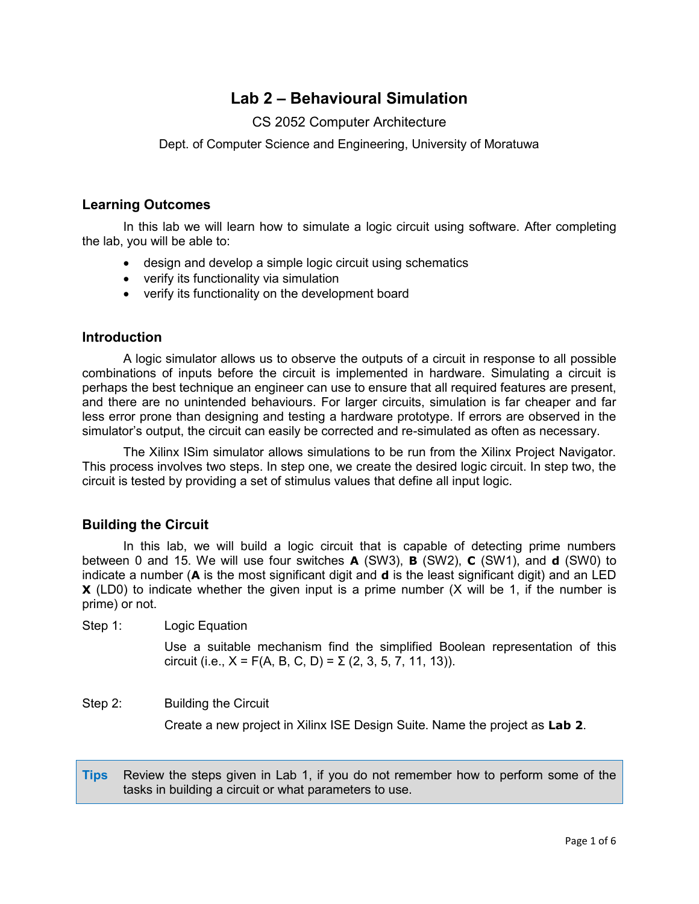# **Lab 2 – Behavioural Simulation**

### CS 2052 Computer Architecture

Dept. of Computer Science and Engineering, University of Moratuwa

### **Learning Outcomes**

In this lab we will learn how to simulate a logic circuit using software. After completing the lab, you will be able to:

- design and develop a simple logic circuit using schematics
- verify its functionality via simulation
- verify its functionality on the development board

#### **Introduction**

A logic simulator allows us to observe the outputs of a circuit in response to all possible combinations of inputs before the circuit is implemented in hardware. Simulating a circuit is perhaps the best technique an engineer can use to ensure that all required features are present, and there are no unintended behaviours. For larger circuits, simulation is far cheaper and far less error prone than designing and testing a hardware prototype. If errors are observed in the simulator's output, the circuit can easily be corrected and re-simulated as often as necessary.

The Xilinx ISim simulator allows simulations to be run from the Xilinx Project Navigator. This process involves two steps. In step one, we create the desired logic circuit. In step two, the circuit is tested by providing a set of stimulus values that define all input logic.

### **Building the Circuit**

In this lab, we will build a logic circuit that is capable of detecting prime numbers between 0 and 15. We will use four switches **A** (SW3), **B** (SW2), **C** (SW1), and **d** (SW0) to indicate a number (**A** is the most significant digit and **d** is the least significant digit) and an LED **X** (LD0) to indicate whether the given input is a prime number (X will be 1, if the number is prime) or not.

Step 1: Logic Equation

Use a suitable mechanism find the simplified Boolean representation of this circuit (i.e.,  $X = F(A, B, C, D) = \Sigma (2, 3, 5, 7, 11, 13)$ ).

#### Step 2: Building the Circuit

Create a new project in Xilinx ISE Design Suite. Name the project as **Lab 2**.

**Tips** Review the steps given in Lab 1, if you do not remember how to perform some of the tasks in building a circuit or what parameters to use.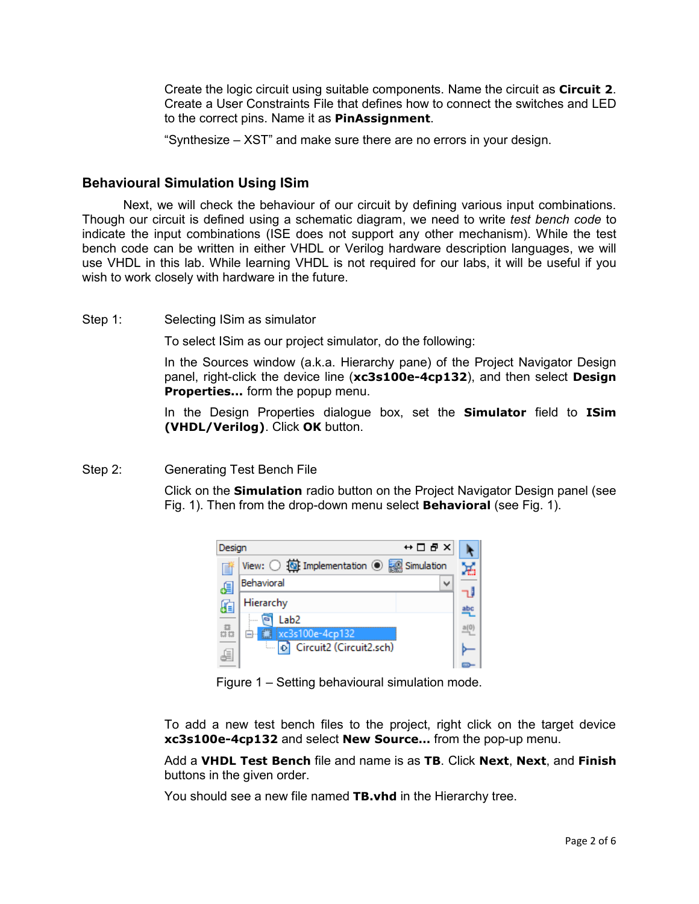Create the logic circuit using suitable components. Name the circuit as **Circuit 2**. Create a User Constraints File that defines how to connect the switches and LED to the correct pins. Name it as **PinAssignment**.

"Synthesize – XST" and make sure there are no errors in your design.

### **Behavioural Simulation Using ISim**

Next, we will check the behaviour of our circuit by defining various input combinations. Though our circuit is defined using a schematic diagram, we need to write *test bench code* to indicate the input combinations (ISE does not support any other mechanism). While the test bench code can be written in either VHDL or Verilog hardware description languages, we will use VHDL in this lab. While learning VHDL is not required for our labs, it will be useful if you wish to work closely with hardware in the future.

Step 1: Selecting ISim as simulator

To select ISim as our project simulator, do the following:

In the Sources window (a.k.a. Hierarchy pane) of the Project Navigator Design panel, right-click the device line (**xc3s100e-4cp132**), and then select **Design Properties...** form the popup menu.

In the Design Properties dialogue box, set the **Simulator** field to **ISim (VHDL/Verilog)**. Click **OK** button.

#### Step 2: Generating Test Bench File

Click on the **Simulation** radio button on the Project Navigator Design panel (see Fig. 1). Then from the drop-down menu select **Behavioral** (see Fig. 1).



Figure 1 – Setting behavioural simulation mode.

To add a new test bench files to the project, right click on the target device **xc3s100e-4cp132** and select **New Source…** from the pop-up menu.

Add a **VHDL Test Bench** file and name is as **TB**. Click **Next**, **Next**, and **Finish** buttons in the given order.

You should see a new file named **TB.vhd** in the Hierarchy tree.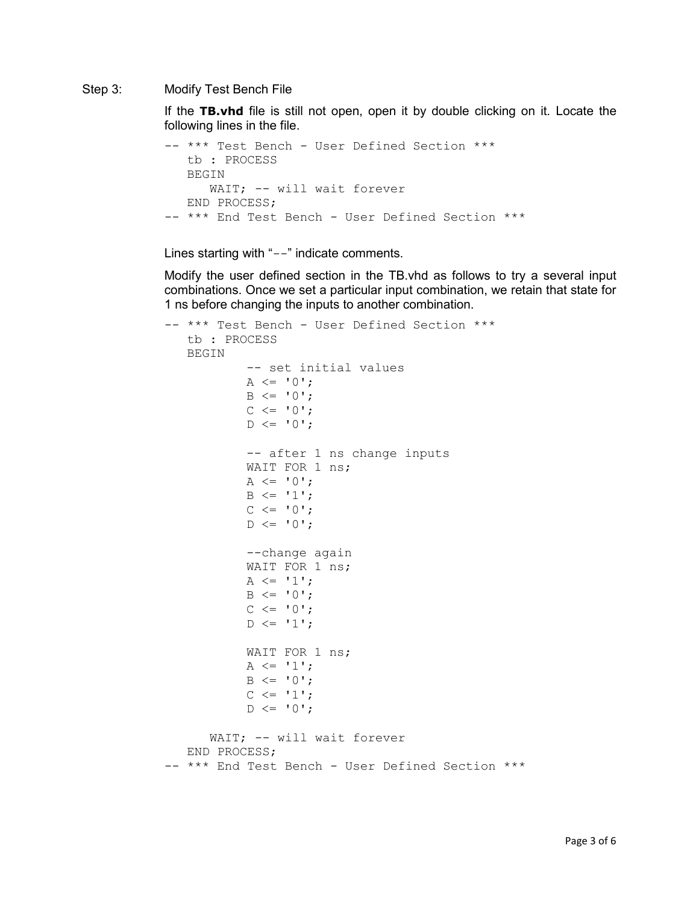#### Step 3: Modify Test Bench File

If the **TB.vhd** file is still not open, open it by double clicking on it. Locate the following lines in the file.

```
-- *** Test Bench - User Defined Section ***
   tb : PROCESS
   BEGIN
     WAIT; -- will wait forever
   END PROCESS;
-- *** End Test Bench - User Defined Section ***
```
Lines starting with "--" indicate comments.

Modify the user defined section in the TB.vhd as follows to try a several input combinations. Once we set a particular input combination, we retain that state for 1 ns before changing the inputs to another combination.

```
-- *** Test Bench - User Defined Section ***
    tb : PROCESS
    BEGIN
           -- set initial values
           A \leq 0';
           B \leq 0';
           C \leq -10;
           D \leq 10;
           -- after 1 ns change inputs
           WAIT FOR 1 ns;
           A \leq 0';
           B \leq 1';
           C \leq -10;
           D \leq 10;
           --change again
           WAIT FOR 1 ns;
           A \leq 1;
           B \leq 0';
           C \leq 10;
           D \leq 1';
           WAIT FOR 1 ns;
           A \leq 1;
           B \leq 0';
           C \leq 1;
           D \leq 10;
      WAIT; -- will wait forever
    END PROCESS;
-- *** End Test Bench - User Defined Section ***
```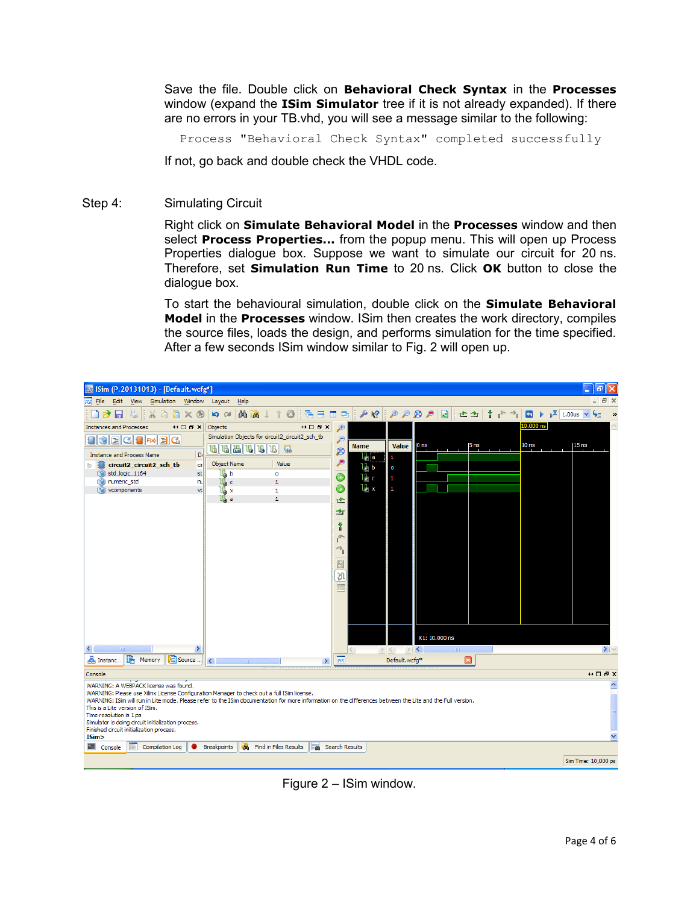Save the file. Double click on **Behavioral Check Syntax** in the **Processes** window (expand the **ISim Simulator** tree if it is not already expanded). If there are no errors in your TB.vhd, you will see a message similar to the following:

Process "Behavioral Check Syntax" completed successfully

If not, go back and double check the VHDL code.

Step 4: Simulating Circuit

Right click on **Simulate Behavioral Model** in the **Processes** window and then select **Process Properties...** from the popup menu. This will open up Process Properties dialogue box. Suppose we want to simulate our circuit for 20 ns. Therefore, set **Simulation Run Time** to 20 ns. Click **OK** button to close the dialogue box.

To start the behavioural simulation, double click on the **Simulate Behavioral Model** in the **Processes** window. ISim then creates the work directory, compiles the source files, loads the design, and performs simulation for the time specified. After a few seconds ISim window similar to Fig. 2 will open up.



Figure 2 – ISim window.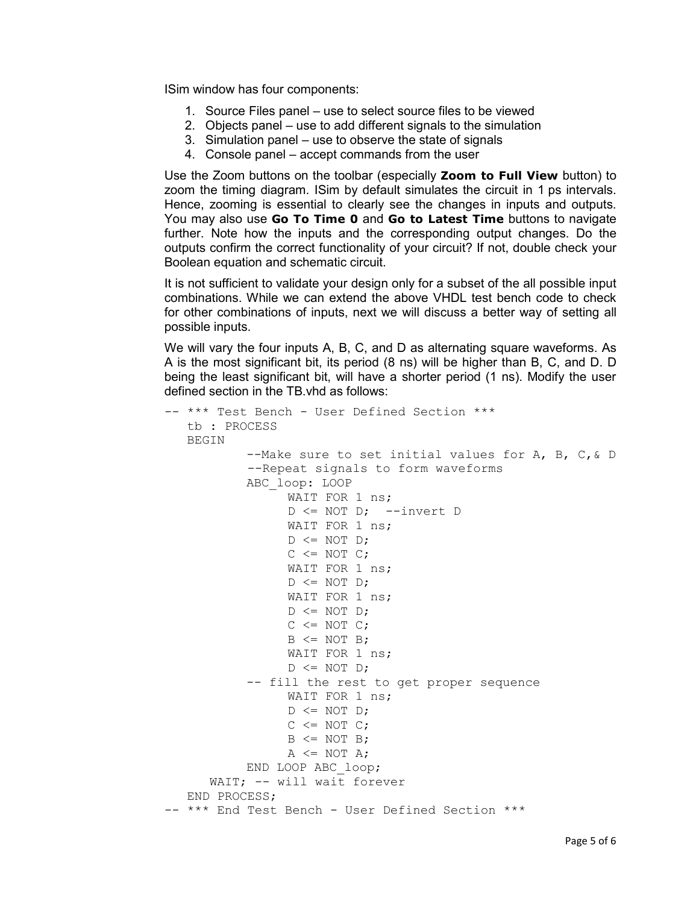ISim window has four components:

- 1. Source Files panel use to select source files to be viewed
- 2. Objects panel use to add different signals to the simulation
- 3. Simulation panel use to observe the state of signals
- 4. Console panel accept commands from the user

Use the Zoom buttons on the toolbar (especially **Zoom to Full View** button) to zoom the timing diagram. ISim by default simulates the circuit in 1 ps intervals. Hence, zooming is essential to clearly see the changes in inputs and outputs. You may also use **Go To Time 0** and **Go to Latest Time** buttons to navigate further. Note how the inputs and the corresponding output changes. Do the outputs confirm the correct functionality of your circuit? If not, double check your Boolean equation and schematic circuit.

It is not sufficient to validate your design only for a subset of the all possible input combinations. While we can extend the above VHDL test bench code to check for other combinations of inputs, next we will discuss a better way of setting all possible inputs.

We will vary the four inputs A, B, C, and D as alternating square waveforms. As A is the most significant bit, its period (8 ns) will be higher than B, C, and D. D being the least significant bit, will have a shorter period (1 ns). Modify the user defined section in the TB.vhd as follows:

```
-- *** Test Bench - User Defined Section ***
    tb : PROCESS
    BEGIN
           --Make sure to set initial values for A, B, C,& D
            --Repeat signals to form waveforms
           ABC_loop: LOOP
                 WAIT FOR 1 ns;
                 D <= NOT D; --invert D
                 WAIT FOR 1 ns;
                 D \leq NOT D;
                 C \leq NOT \ C;
                 WAIT FOR 1 ns;
                 D \leq NOT D;
                 WAIT FOR 1 ns;
                 D \leq NOT D;
                 C \leq NOT \ C;
                 B \leq NOT \ B;
                 WAIT FOR 1 ns;
                 D \leq NOT D;
           -- fill the rest to get proper sequence
                 WAIT FOR 1 ns;
                 D \leq NOT D;
                 C \leq NOT \ C;
                 B \leq NOT \ B;
                 A \leq NOT A;END LOOP ABC_loop;
      WAIT; -- will wait forever
    END PROCESS;
-- *** End Test Bench - User Defined Section ***
```